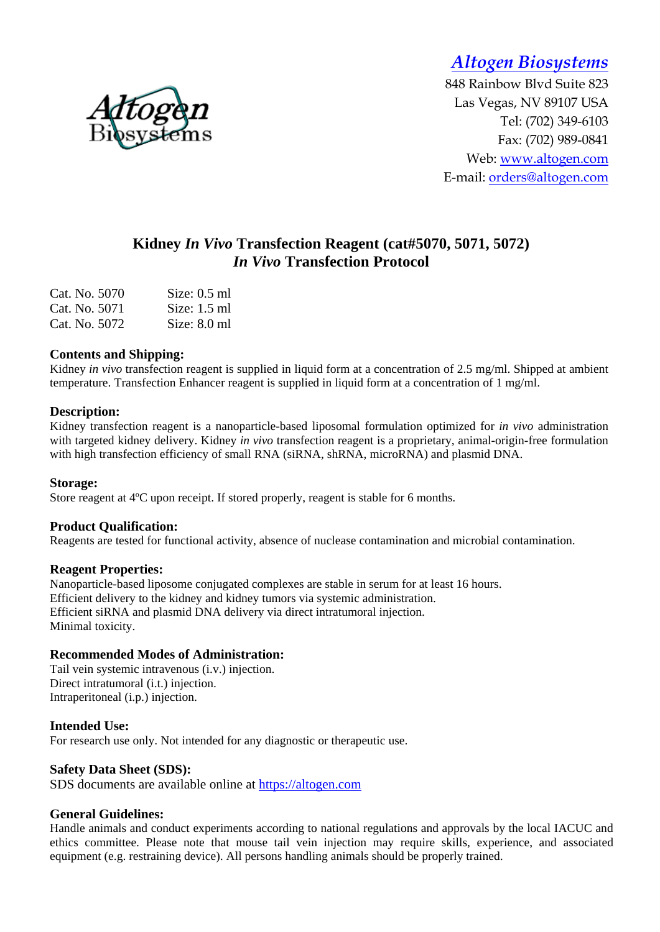*Altogen Biosystems* 

848 Rainbow Blvd Suite 823 Las Vegas, NV 89107 USA Tel: (702) 349-6103 Fax: (702) 989-0841 Web: www.altogen.com E-mail: orders@altogen.com

# **Kidney** *In Vivo* **Transfection Reagent (cat#5070, 5071, 5072)**  *In Vivo* **Transfection Protocol**

| Cat. No. 5070 | Size: $0.5$ ml |
|---------------|----------------|
| Cat. No. 5071 | Size: $1.5$ ml |
| Cat. No. 5072 | Size: $8.0$ ml |

## **Contents and Shipping:**

Kidney *in vivo* transfection reagent is supplied in liquid form at a concentration of 2.5 mg/ml. Shipped at ambient temperature. Transfection Enhancer reagent is supplied in liquid form at a concentration of 1 mg/ml.

## **Description:**

Kidney transfection reagent is a nanoparticle-based liposomal formulation optimized for *in vivo* administration with targeted kidney delivery. Kidney *in vivo* transfection reagent is a proprietary, animal-origin-free formulation with high transfection efficiency of small RNA (siRNA, shRNA, microRNA) and plasmid DNA.

## **Storage:**

Store reagent at 4ºC upon receipt. If stored properly, reagent is stable for 6 months.

## **Product Qualification:**

Reagents are tested for functional activity, absence of nuclease contamination and microbial contamination.

## **Reagent Properties:**

Nanoparticle-based liposome conjugated complexes are stable in serum for at least 16 hours. Efficient delivery to the kidney and kidney tumors via systemic administration. Efficient siRNA and plasmid DNA delivery via direct intratumoral injection. Minimal toxicity.

## **Recommended Modes of Administration:**

Tail vein systemic intravenous (i.v.) injection. Direct intratumoral (i.t.) injection. Intraperitoneal (i.p.) injection.

## **Intended Use:**

For research use only. Not intended for any diagnostic or therapeutic use.

## **Safety Data Sheet (SDS):**

SDS documents are available online at https://altogen.com

## **General Guidelines:**

Handle animals and conduct experiments according to national regulations and approvals by the local IACUC and ethics committee. Please note that mouse tail vein injection may require skills, experience, and associated equipment (e.g. restraining device). All persons handling animals should be properly trained.